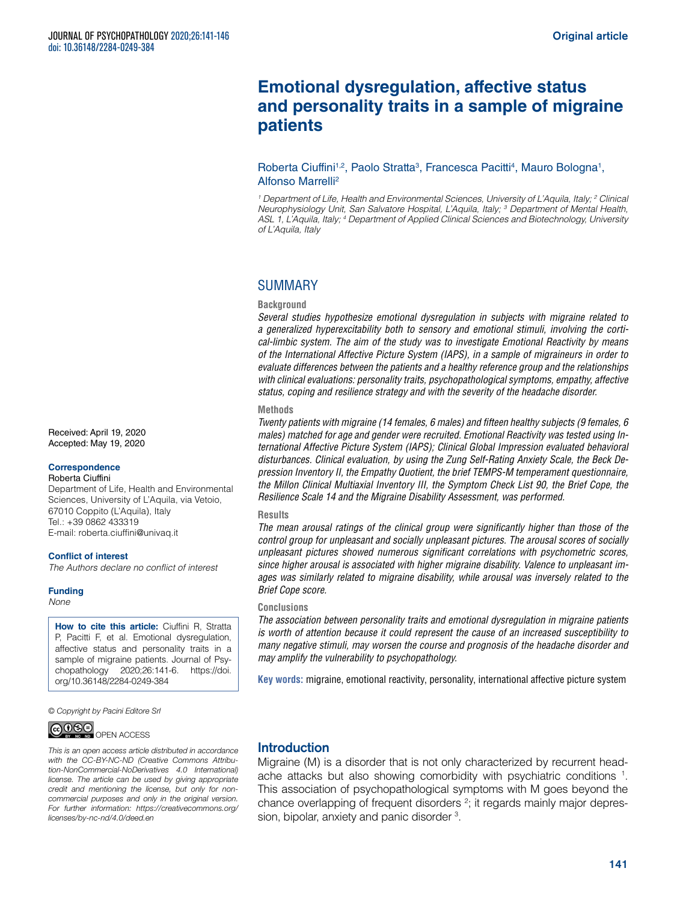# **Emotional dysregulation, affective status and personality traits in a sample of migraine patients**

### Roberta Ciuffini<sup>1,2</sup>, Paolo Stratta<sup>3</sup>, Francesca Pacitti<sup>4</sup>, Mauro Bologna<sup>1</sup>, Alfonso Marrelli2

*1 Department of Life, Health and Environmental Sciences, University of L'Aquila, Italy; 2 Clinical Neurophysiology Unit, San Salvatore Hospital, L'Aquila, Italy; 3 Department of Mental Health, ASL 1, L'Aquila, Italy; 4 Department of Applied Clinical Sciences and Biotechnology, University of L'Aquila, Italy*

# SUMMARY

### **Background**

*Several studies hypothesize emotional dysregulation in subjects with migraine related to a generalized hyperexcitability both to sensory and emotional stimuli, involving the cortical-limbic system. The aim of the study was to investigate Emotional Reactivity by means of the International Affective Picture System (IAPS), in a sample of migraineurs in order to evaluate differences between the patients and a healthy reference group and the relationships with clinical evaluations: personality traits, psychopathological symptoms, empathy, affective status, coping and resilience strategy and with the severity of the headache disorder.* 

#### **Methods**

*Twenty patients with migraine (14 females, 6 males) and fifteen healthy subjects (9 females, 6 males) matched for age and gender were recruited. Emotional Reactivity was tested using International Affective Picture System (IAPS); Clinical Global Impression evaluated behavioral disturbances. Clinical evaluation, by using the Zung Self-Rating Anxiety Scale, the Beck Depression Inventory II, the Empathy Quotient, the brief TEMPS-M temperament questionnaire, the Millon Clinical Multiaxial Inventory III, the Symptom Check List 90, the Brief Cope, the Resilience Scale 14 and the Migraine Disability Assessment, was performed.*

#### **Results**

*The mean arousal ratings of the clinical group were significantly higher than those of the control group for unpleasant and socially unpleasant pictures. The arousal scores of socially unpleasant pictures showed numerous significant correlations with psychometric scores, since higher arousal is associated with higher migraine disability. Valence to unpleasant images was similarly related to migraine disability, while arousal was inversely related to the Brief Cope score.*

### **Conclusions**

*The association between personality traits and emotional dysregulation in migraine patients is worth of attention because it could represent the cause of an increased susceptibility to many negative stimuli, may worsen the course and prognosis of the headache disorder and may amplify the vulnerability to psychopathology.*

**Key words:** migraine, emotional reactivity, personality, international affective picture system

# Introduction

Migraine (M) is a disorder that is not only characterized by recurrent headache attacks but also showing comorbidity with psychiatric conditions 1. This association of psychopathological symptoms with M goes beyond the chance overlapping of frequent disorders<sup>2</sup>; it regards mainly major depression, bipolar, anxiety and panic disorder <sup>3</sup>.

Received: April 19, 2020 Accepted: May 19, 2020

#### **Correspondence**

Roberta Ciuffini Department of Life, Health and Environmental Sciences, University of L'Aquila, via Vetoio, 67010 Coppito (L'Aquila), Italy Tel.: +39 0862 433319 E-mail: [roberta.ciuffini@univaq.it](mailto:roberta.ciuffini@univaq.it)

#### **Conflict of interest**

*The Authors declare no conflict of interest*

**Funding** *None*

> **How to cite this article:** Ciuffini R, Stratta P, Pacitti F, et al. Emotional dysregulation, affective status and personality traits in a sample of migraine patients. Journal of Psychopathology 2020;26:141-6. [https://doi.](https://doi.org/10.36148/2284-0249-384) [org/10.36148/2284-0249-384](https://doi.org/10.36148/2284-0249-384)

*© Copyright by Pacini Editore Srl*



*This is an open access article distributed in accordance with the CC-BY-NC-ND (Creative Commons Attribution-NonCommercial-NoDerivatives 4.0 International) license. The article can be used by giving appropriate credit and mentioning the license, but only for noncommercial purposes and only in the original version. For further information: [https://creativecommons.org/](https://creativecommons.org/licenses/by-nc-nd/4.0/deed.en) [licenses/by-nc-nd/4.0/deed.en](https://creativecommons.org/licenses/by-nc-nd/4.0/deed.en)*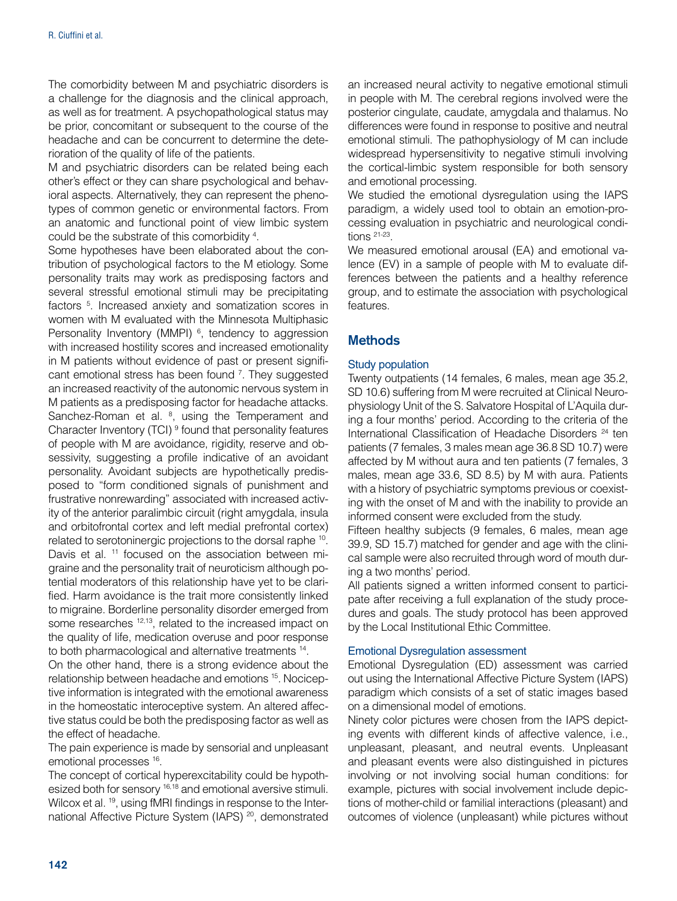The comorbidity between M and psychiatric disorders is a challenge for the diagnosis and the clinical approach, as well as for treatment. A psychopathological status may be prior, concomitant or subsequent to the course of the headache and can be concurrent to determine the deterioration of the quality of life of the patients.

M and psychiatric disorders can be related being each other's effect or they can share psychological and behavioral aspects. Alternatively, they can represent the phenotypes of common genetic or environmental factors. From an anatomic and functional point of view limbic system could be the substrate of this comorbidity 4 .

Some hypotheses have been elaborated about the contribution of psychological factors to the M etiology. Some personality traits may work as predisposing factors and several stressful emotional stimuli may be precipitating factors <sup>5</sup>. Increased anxiety and somatization scores in women with M evaluated with the Minnesota Multiphasic Personality Inventory (MMPI) <sup>6</sup>, tendency to aggression with increased hostility scores and increased emotionality in M patients without evidence of past or present significant emotional stress has been found <sup>7</sup>. They suggested an increased reactivity of the autonomic nervous system in M patients as a predisposing factor for headache attacks. Sanchez-Roman et al. <sup>8</sup>, using the Temperament and Character Inventory (TCI) <sup>9</sup> found that personality features of people with M are avoidance, rigidity, reserve and obsessivity, suggesting a profile indicative of an avoidant personality. Avoidant subjects are hypothetically predisposed to "form conditioned signals of punishment and frustrative nonrewarding" associated with increased activity of the anterior paralimbic circuit (right amygdala, insula and orbitofrontal cortex and left medial prefrontal cortex) related to serotoninergic projections to the dorsal raphe 10. Davis et al. <sup>11</sup> focused on the association between migraine and the personality trait of neuroticism although potential moderators of this relationship have yet to be clarified. Harm avoidance is the trait more consistently linked to migraine. Borderline personality disorder emerged from some researches <sup>12,13</sup>, related to the increased impact on the quality of life, medication overuse and poor response to both pharmacological and alternative treatments 14.

On the other hand, there is a strong evidence about the relationship between headache and emotions 15. Nociceptive information is integrated with the emotional awareness in the homeostatic interoceptive system. An altered affective status could be both the predisposing factor as well as the effect of headache.

The pain experience is made by sensorial and unpleasant emotional processes 16.

The concept of cortical hyperexcitability could be hypothesized both for sensory <sup>16,18</sup> and emotional aversive stimuli. Wilcox et al. <sup>19</sup>, using fMRI findings in response to the International Affective Picture System (IAPS)<sup>20</sup>, demonstrated an increased neural activity to negative emotional stimuli in people with M. The cerebral regions involved were the posterior cingulate, caudate, amygdala and thalamus. No differences were found in response to positive and neutral emotional stimuli. The pathophysiology of M can include widespread hypersensitivity to negative stimuli involving the cortical-limbic system responsible for both sensory and emotional processing.

We studied the emotional dysregulation using the IAPS paradigm, a widely used tool to obtain an emotion-processing evaluation in psychiatric and neurological conditions 21-23.

We measured emotional arousal (EA) and emotional valence (EV) in a sample of people with M to evaluate differences between the patients and a healthy reference group, and to estimate the association with psychological features.

# **Methods**

### Study population

Twenty outpatients (14 females, 6 males, mean age 35.2, SD 10.6) suffering from M were recruited at Clinical Neurophysiology Unit of the S. Salvatore Hospital of L'Aquila during a four months' period. According to the criteria of the International Classification of Headache Disorders 24 ten patients (7 females, 3 males mean age 36.8 SD 10.7) were affected by M without aura and ten patients (7 females, 3 males, mean age 33.6, SD 8.5) by M with aura. Patients with a history of psychiatric symptoms previous or coexisting with the onset of M and with the inability to provide an informed consent were excluded from the study.

Fifteen healthy subjects (9 females, 6 males, mean age 39.9, SD 15.7) matched for gender and age with the clinical sample were also recruited through word of mouth during a two months' period.

All patients signed a written informed consent to participate after receiving a full explanation of the study procedures and goals. The study protocol has been approved by the Local Institutional Ethic Committee.

### Emotional Dysregulation assessment

Emotional Dysregulation (ED) assessment was carried out using the International Affective Picture System (IAPS) paradigm which consists of a set of static images based on a dimensional model of emotions.

Ninety color pictures were chosen from the IAPS depicting events with different kinds of affective valence, i.e., unpleasant, pleasant, and neutral events. Unpleasant and pleasant events were also distinguished in pictures involving or not involving social human conditions: for example, pictures with social involvement include depictions of mother-child or familial interactions (pleasant) and outcomes of violence (unpleasant) while pictures without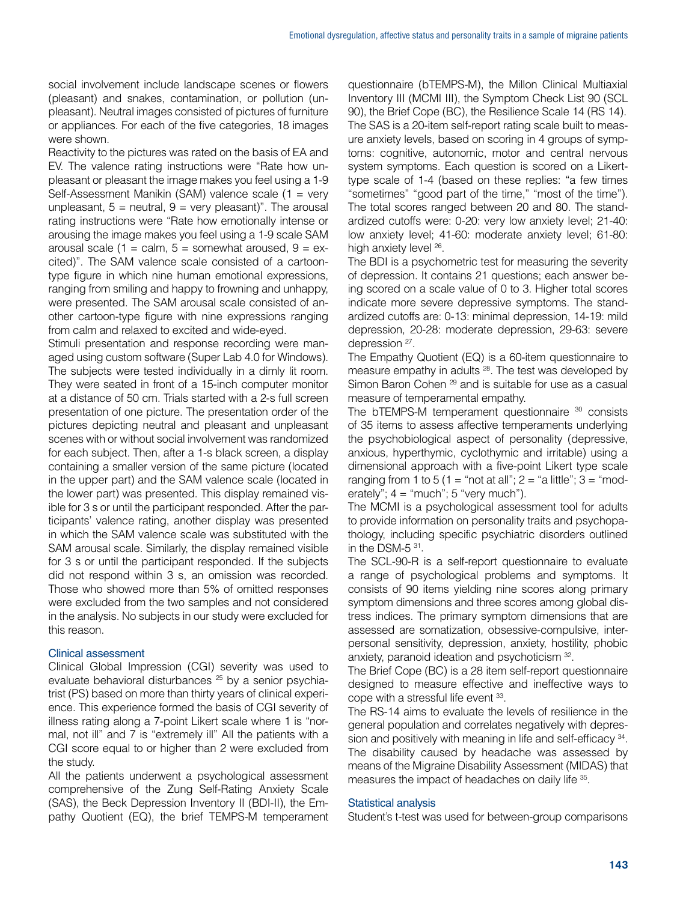social involvement include landscape scenes or flowers (pleasant) and snakes, contamination, or pollution (unpleasant). Neutral images consisted of pictures of furniture or appliances. For each of the five categories, 18 images were shown.

Reactivity to the pictures was rated on the basis of EA and EV. The valence rating instructions were "Rate how unpleasant or pleasant the image makes you feel using a 1-9 Self-Assessment Manikin (SAM) valence scale (1 = very unpleasant,  $5 =$  neutral,  $9 =$  very pleasant)". The arousal rating instructions were "Rate how emotionally intense or arousing the image makes you feel using a 1-9 scale SAM arousal scale (1 = calm,  $5 =$  somewhat aroused,  $9 = e^{x}$ cited)". The SAM valence scale consisted of a cartoontype figure in which nine human emotional expressions, ranging from smiling and happy to frowning and unhappy, were presented. The SAM arousal scale consisted of another cartoon-type figure with nine expressions ranging from calm and relaxed to excited and wide-eyed.

Stimuli presentation and response recording were managed using custom software (Super Lab 4.0 for Windows). The subjects were tested individually in a dimly lit room. They were seated in front of a 15-inch computer monitor at a distance of 50 cm. Trials started with a 2-s full screen presentation of one picture. The presentation order of the pictures depicting neutral and pleasant and unpleasant scenes with or without social involvement was randomized for each subject. Then, after a 1-s black screen, a display containing a smaller version of the same picture (located in the upper part) and the SAM valence scale (located in the lower part) was presented. This display remained visible for 3 s or until the participant responded. After the participants' valence rating, another display was presented in which the SAM valence scale was substituted with the SAM arousal scale. Similarly, the display remained visible for 3 s or until the participant responded. If the subjects did not respond within 3 s, an omission was recorded. Those who showed more than 5% of omitted responses were excluded from the two samples and not considered in the analysis. No subjects in our study were excluded for this reason.

# Clinical assessment

Clinical Global Impression (CGI) severity was used to evaluate behavioral disturbances<sup>25</sup> by a senior psychiatrist (PS) based on more than thirty years of clinical experience. This experience formed the basis of CGI severity of illness rating along a 7-point Likert scale where 1 is "normal, not ill" and 7 is "extremely ill" All the patients with a CGI score equal to or higher than 2 were excluded from the study.

All the patients underwent a psychological assessment comprehensive of the Zung Self-Rating Anxiety Scale (SAS), the Beck Depression Inventory II (BDI-II), the Empathy Quotient (EQ), the brief TEMPS-M temperament

questionnaire (bTEMPS-M), the Millon Clinical Multiaxial Inventory III (MCMI III), the Symptom Check List 90 (SCL 90), the Brief Cope (BC), the Resilience Scale 14 (RS 14). The SAS is a 20-item self-report rating scale built to measure anxiety levels, based on scoring in 4 groups of symptoms: cognitive, autonomic, motor and central nervous system symptoms. Each question is scored on a Likerttype scale of 1-4 (based on these replies: "a few times "sometimes" "good part of the time," "most of the time"). The total scores ranged between 20 and 80. The standardized cutoffs were: 0-20: very low anxiety level; 21-40: low anxiety level; 41-60: moderate anxiety level; 61-80: high anxiety level <sup>26</sup>.

The BDI is a psychometric test for measuring the severity of depression. It contains 21 questions; each answer being scored on a scale value of 0 to 3. Higher total scores indicate more severe depressive symptoms. The standardized cutoffs are: 0-13: minimal depression, 14-19: mild depression, 20-28: moderate depression, 29-63: severe depression <sup>27</sup>.

The Empathy Quotient (EQ) is a 60-item questionnaire to measure empathy in adults 28. The test was developed by Simon Baron Cohen <sup>29</sup> and is suitable for use as a casual measure of temperamental empathy.

The bTEMPS-M temperament questionnaire <sup>30</sup> consists of 35 items to assess affective temperaments underlying the psychobiological aspect of personality (depressive, anxious, hyperthymic, cyclothymic and irritable) using a dimensional approach with a five-point Likert type scale ranging from 1 to 5 (1 = "not at all";  $2 =$  "a little";  $3 =$  "moderately";  $4 = \text{``much''}; 5 \text{``very much''}.$ 

The MCMI is a psychological assessment tool for adults to provide information on personality traits and psychopathology, including specific psychiatric disorders outlined in the DSM-5 31.

The SCL-90-R is a self-report questionnaire to evaluate a range of psychological problems and symptoms. It consists of 90 items yielding nine scores along primary symptom dimensions and three scores among global distress indices. The primary symptom dimensions that are assessed are somatization, obsessive-compulsive, interpersonal sensitivity, depression, anxiety, hostility, phobic anxiety, paranoid ideation and psychoticism 32.

The Brief Cope (BC) is a 28 item self-report questionnaire designed to measure effective and ineffective ways to cope with a stressful life event 33.

The RS-14 aims to evaluate the levels of resilience in the general population and correlates negatively with depression and positively with meaning in life and self-efficacy 34. The disability caused by headache was assessed by means of the Migraine Disability Assessment (MIDAS) that measures the impact of headaches on daily life 35.

### Statistical analysis

Student's t-test was used for between-group comparisons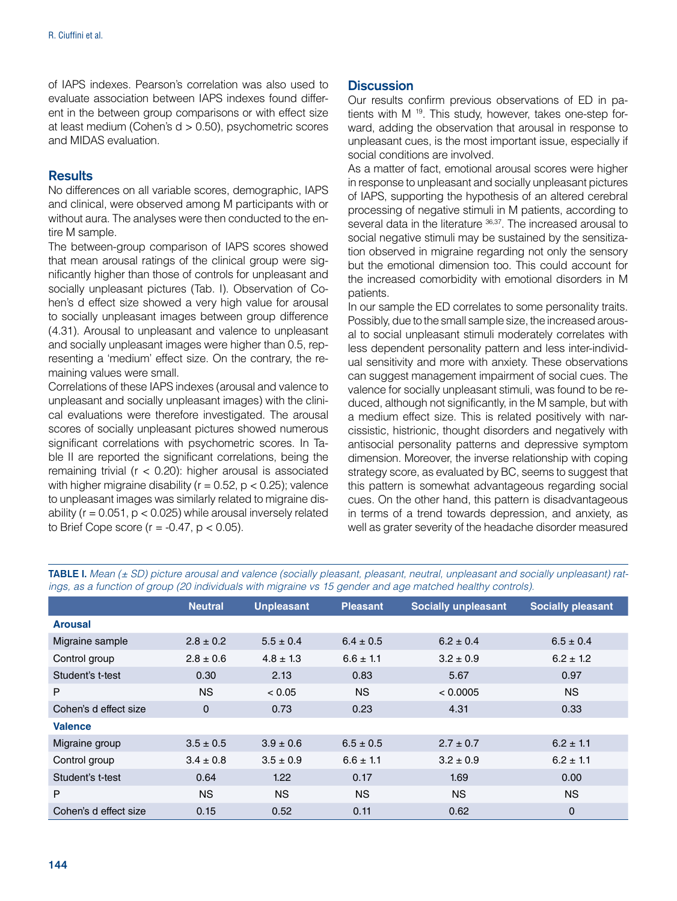of IAPS indexes. Pearson's correlation was also used to evaluate association between IAPS indexes found different in the between group comparisons or with effect size at least medium (Cohen's d > 0.50), psychometric scores and MIDAS evaluation.

# **Results**

No differences on all variable scores, demographic, IAPS and clinical, were observed among M participants with or without aura. The analyses were then conducted to the entire M sample.

The between-group comparison of IAPS scores showed that mean arousal ratings of the clinical group were significantly higher than those of controls for unpleasant and socially unpleasant pictures (Tab. I). Observation of Cohen's d effect size showed a very high value for arousal to socially unpleasant images between group difference (4.31). Arousal to unpleasant and valence to unpleasant and socially unpleasant images were higher than 0.5, representing a 'medium' effect size. On the contrary, the remaining values were small.

Correlations of these IAPS indexes (arousal and valence to unpleasant and socially unpleasant images) with the clinical evaluations were therefore investigated. The arousal scores of socially unpleasant pictures showed numerous significant correlations with psychometric scores. In Table II are reported the significant correlations, being the remaining trivial ( $r < 0.20$ ): higher arousal is associated with higher migraine disability ( $r = 0.52$ ,  $p < 0.25$ ); valence to unpleasant images was similarly related to migraine disability ( $r = 0.051$ ,  $p < 0.025$ ) while arousal inversely related to Brief Cope score ( $r = -0.47$ ,  $p < 0.05$ ).

# **Discussion**

Our results confirm previous observations of ED in patients with M<sup>19</sup>. This study, however, takes one-step forward, adding the observation that arousal in response to unpleasant cues, is the most important issue, especially if social conditions are involved.

As a matter of fact, emotional arousal scores were higher in response to unpleasant and socially unpleasant pictures of IAPS, supporting the hypothesis of an altered cerebral processing of negative stimuli in M patients, according to several data in the literature 36,37. The increased arousal to social negative stimuli may be sustained by the sensitization observed in migraine regarding not only the sensory but the emotional dimension too. This could account for the increased comorbidity with emotional disorders in M patients.

In our sample the ED correlates to some personality traits. Possibly, due to the small sample size, the increased arousal to social unpleasant stimuli moderately correlates with less dependent personality pattern and less inter-individual sensitivity and more with anxiety. These observations can suggest management impairment of social cues. The valence for socially unpleasant stimuli, was found to be reduced, although not significantly, in the M sample, but with a medium effect size. This is related positively with narcissistic, histrionic, thought disorders and negatively with antisocial personality patterns and depressive symptom dimension. Moreover, the inverse relationship with coping strategy score, as evaluated by BC, seems to suggest that this pattern is somewhat advantageous regarding social cues. On the other hand, this pattern is disadvantageous in terms of a trend towards depression, and anxiety, as well as grater severity of the headache disorder measured

|                       | <b>Neutral</b> | <b>Unpleasant</b> | <b>Pleasant</b> | <b>Socially unpleasant</b> | <b>Socially pleasant</b> |
|-----------------------|----------------|-------------------|-----------------|----------------------------|--------------------------|
|                       |                |                   |                 |                            |                          |
| <b>Arousal</b>        |                |                   |                 |                            |                          |
| Migraine sample       | $2.8 \pm 0.2$  | $5.5 \pm 0.4$     | $6.4 \pm 0.5$   | $6.2 \pm 0.4$              | $6.5 \pm 0.4$            |
| Control group         | $2.8 \pm 0.6$  | $4.8 \pm 1.3$     | $6.6 \pm 1.1$   | $3.2 \pm 0.9$              | $6.2 \pm 1.2$            |
| Student's t-test      | 0.30           | 2.13              | 0.83            | 5.67                       | 0.97                     |
| P                     | <b>NS</b>      | < 0.05            | <b>NS</b>       | < 0.0005                   | <b>NS</b>                |
| Cohen's d effect size | 0              | 0.73              | 0.23            | 4.31                       | 0.33                     |
| <b>Valence</b>        |                |                   |                 |                            |                          |
| Migraine group        | $3.5 \pm 0.5$  | $3.9 \pm 0.6$     | $6.5 \pm 0.5$   | $2.7 \pm 0.7$              | $6.2 \pm 1.1$            |
| Control group         | $3.4 \pm 0.8$  | $3.5 \pm 0.9$     | $6.6 \pm 1.1$   | $3.2 \pm 0.9$              | $6.2 \pm 1.1$            |
| Student's t-test      | 0.64           | 1.22              | 0.17            | 1.69                       | 0.00                     |
| P                     | <b>NS</b>      | <b>NS</b>         | <b>NS</b>       | <b>NS</b>                  | <b>NS</b>                |
| Cohen's d effect size | 0.15           | 0.52              | 0.11            | 0.62                       | $\mathbf 0$              |

TABLE I. *Mean (± SD) picture arousal and valence (socially pleasant, pleasant, neutral, unpleasant and socially unpleasant) ratings, as a function of group (20 individuals with migraine vs 15 gender and age matched healthy controls).*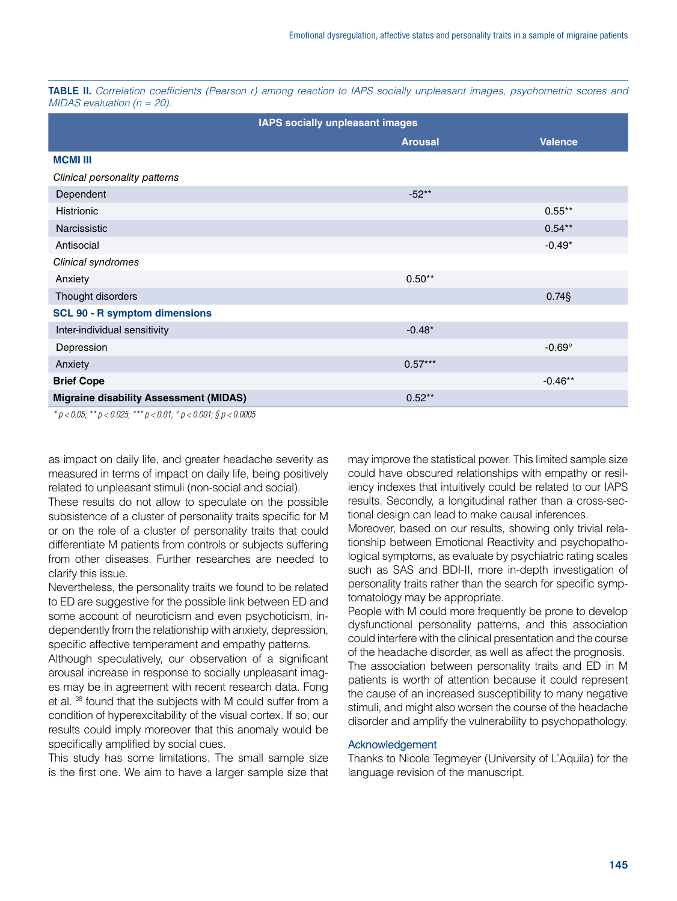TABLE II. *Correlation coefficients (Pearson r) among reaction to IAPS socially unpleasant images, psychometric scores and MIDAS evaluation (n = 20).*

| IAPS socially unpleasant images               |                |                |  |  |
|-----------------------------------------------|----------------|----------------|--|--|
|                                               | <b>Arousal</b> | <b>Valence</b> |  |  |
| <b>MCMI III</b>                               |                |                |  |  |
| Clinical personality patterns                 |                |                |  |  |
| Dependent                                     | $-52**$        |                |  |  |
| <b>Histrionic</b>                             |                | $0.55***$      |  |  |
| Narcissistic                                  |                | $0.54***$      |  |  |
| Antisocial                                    |                | $-0.49*$       |  |  |
| Clinical syndromes                            |                |                |  |  |
| Anxiety                                       | $0.50**$       |                |  |  |
| Thought disorders                             |                | $0.74$ §       |  |  |
| <b>SCL 90 - R symptom dimensions</b>          |                |                |  |  |
| Inter-individual sensitivity                  | $-0.48*$       |                |  |  |
| Depression                                    |                | $-0.69^\circ$  |  |  |
| Anxiety                                       | $0.57***$      |                |  |  |
| <b>Brief Cope</b>                             |                | $-0.46**$      |  |  |
| <b>Migraine disability Assessment (MIDAS)</b> | $0.52**$       |                |  |  |

*\* p < 0.05; \*\* p < 0.025; \*\*\* p < 0.01; ° p < 0.001; § p < 0.0005*

as impact on daily life, and greater headache severity as measured in terms of impact on daily life, being positively related to unpleasant stimuli (non-social and social).

These results do not allow to speculate on the possible subsistence of a cluster of personality traits specific for M or on the role of a cluster of personality traits that could differentiate M patients from controls or subjects suffering from other diseases. Further researches are needed to clarify this issue.

Nevertheless, the personality traits we found to be related to ED are suggestive for the possible link between ED and some account of neuroticism and even psychoticism, independently from the relationship with anxiety, depression, specific affective temperament and empathy patterns.

Although speculatively, our observation of a significant arousal increase in response to socially unpleasant images may be in agreement with recent research data. Fong et al. 38 found that the subjects with M could suffer from a condition of hyperexcitability of the visual cortex. If so, our results could imply moreover that this anomaly would be specifically amplified by social cues.

This study has some limitations. The small sample size is the first one. We aim to have a larger sample size that may improve the statistical power. This limited sample size could have obscured relationships with empathy or resiliency indexes that intuitively could be related to our IAPS results. Secondly, a longitudinal rather than a cross-sectional design can lead to make causal inferences.

Moreover, based on our results, showing only trivial relationship between Emotional Reactivity and psychopathological symptoms, as evaluate by psychiatric rating scales such as SAS and BDI-II, more in-depth investigation of personality traits rather than the search for specific symptomatology may be appropriate.

People with M could more frequently be prone to develop dysfunctional personality patterns, and this association could interfere with the clinical presentation and the course of the headache disorder, as well as affect the prognosis.

The association between personality traits and ED in M patients is worth of attention because it could represent the cause of an increased susceptibility to many negative stimuli, and might also worsen the course of the headache disorder and amplify the vulnerability to psychopathology.

#### Acknowledgement

Thanks to Nicole Tegmeyer (University of L'Aquila) for the language revision of the manuscript.